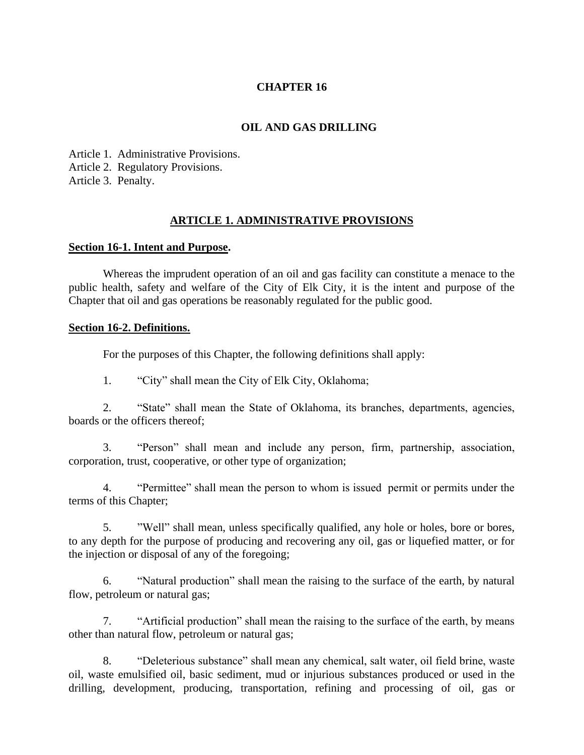### **CHAPTER 16**

### **OIL AND GAS DRILLING**

Article 1. Administrative Provisions. Article 2. Regulatory Provisions. Article 3. Penalty.

#### **ARTICLE 1. ADMINISTRATIVE PROVISIONS**

#### **Section 16-1. Intent and Purpose.**

Whereas the imprudent operation of an oil and gas facility can constitute a menace to the public health, safety and welfare of the City of Elk City, it is the intent and purpose of the Chapter that oil and gas operations be reasonably regulated for the public good.

#### **Section 16-2. Definitions.**

For the purposes of this Chapter, the following definitions shall apply:

1. "City" shall mean the City of Elk City, Oklahoma;

2. "State" shall mean the State of Oklahoma, its branches, departments, agencies, boards or the officers thereof;

3. "Person" shall mean and include any person, firm, partnership, association, corporation, trust, cooperative, or other type of organization;

4. "Permittee" shall mean the person to whom is issued permit or permits under the terms of this Chapter;

5. "Well" shall mean, unless specifically qualified, any hole or holes, bore or bores, to any depth for the purpose of producing and recovering any oil, gas or liquefied matter, or for the injection or disposal of any of the foregoing;

6. "Natural production" shall mean the raising to the surface of the earth, by natural flow, petroleum or natural gas;

7. "Artificial production" shall mean the raising to the surface of the earth, by means other than natural flow, petroleum or natural gas;

8. "Deleterious substance" shall mean any chemical, salt water, oil field brine, waste oil, waste emulsified oil, basic sediment, mud or injurious substances produced or used in the drilling, development, producing, transportation, refining and processing of oil, gas or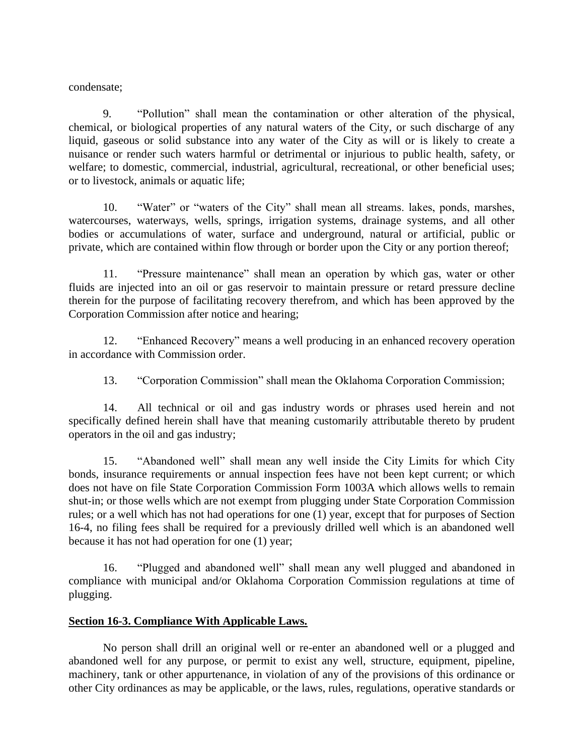condensate;

9. "Pollution" shall mean the contamination or other alteration of the physical, chemical, or biological properties of any natural waters of the City, or such discharge of any liquid, gaseous or solid substance into any water of the City as will or is likely to create a nuisance or render such waters harmful or detrimental or injurious to public health, safety, or welfare; to domestic, commercial, industrial, agricultural, recreational, or other beneficial uses; or to livestock, animals or aquatic life;

10. "Water" or "waters of the City" shall mean all streams. lakes, ponds, marshes, watercourses, waterways, wells, springs, irrigation systems, drainage systems, and all other bodies or accumulations of water, surface and underground, natural or artificial, public or private, which are contained within flow through or border upon the City or any portion thereof;

11. "Pressure maintenance" shall mean an operation by which gas, water or other fluids are injected into an oil or gas reservoir to maintain pressure or retard pressure decline therein for the purpose of facilitating recovery therefrom, and which has been approved by the Corporation Commission after notice and hearing;

12. "Enhanced Recovery" means a well producing in an enhanced recovery operation in accordance with Commission order.

13. "Corporation Commission" shall mean the Oklahoma Corporation Commission;

14. All technical or oil and gas industry words or phrases used herein and not specifically defined herein shall have that meaning customarily attributable thereto by prudent operators in the oil and gas industry;

15. "Abandoned well" shall mean any well inside the City Limits for which City bonds, insurance requirements or annual inspection fees have not been kept current; or which does not have on file State Corporation Commission Form 1003A which allows wells to remain shut-in; or those wells which are not exempt from plugging under State Corporation Commission rules; or a well which has not had operations for one (1) year, except that for purposes of Section 16-4, no filing fees shall be required for a previously drilled well which is an abandoned well because it has not had operation for one (1) year;

16. "Plugged and abandoned well" shall mean any well plugged and abandoned in compliance with municipal and/or Oklahoma Corporation Commission regulations at time of plugging.

# **Section 16-3. Compliance With Applicable Laws.**

No person shall drill an original well or re-enter an abandoned well or a plugged and abandoned well for any purpose, or permit to exist any well, structure, equipment, pipeline, machinery, tank or other appurtenance, in violation of any of the provisions of this ordinance or other City ordinances as may be applicable, or the laws, rules, regulations, operative standards or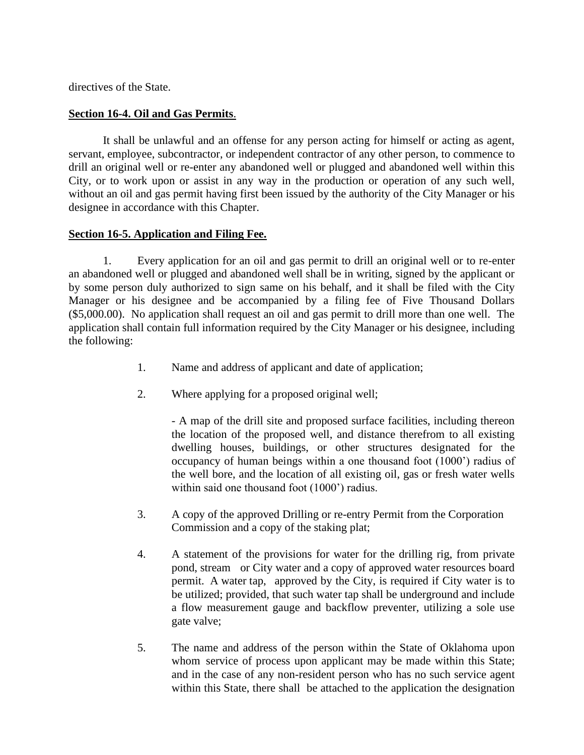directives of the State.

### **Section 16-4. Oil and Gas Permits**.

It shall be unlawful and an offense for any person acting for himself or acting as agent, servant, employee, subcontractor, or independent contractor of any other person, to commence to drill an original well or re-enter any abandoned well or plugged and abandoned well within this City, or to work upon or assist in any way in the production or operation of any such well, without an oil and gas permit having first been issued by the authority of the City Manager or his designee in accordance with this Chapter.

### **Section 16-5. Application and Filing Fee.**

1. Every application for an oil and gas permit to drill an original well or to re-enter an abandoned well or plugged and abandoned well shall be in writing, signed by the applicant or by some person duly authorized to sign same on his behalf, and it shall be filed with the City Manager or his designee and be accompanied by a filing fee of Five Thousand Dollars (\$5,000.00). No application shall request an oil and gas permit to drill more than one well. The application shall contain full information required by the City Manager or his designee, including the following:

- 1. Name and address of applicant and date of application;
- 2. Where applying for a proposed original well;

- A map of the drill site and proposed surface facilities, including thereon the location of the proposed well, and distance therefrom to all existing dwelling houses, buildings, or other structures designated for the occupancy of human beings within a one thousand foot (1000') radius of the well bore, and the location of all existing oil, gas or fresh water wells within said one thousand foot (1000') radius.

- 3. A copy of the approved Drilling or re-entry Permit from the Corporation Commission and a copy of the staking plat;
- 4. A statement of the provisions for water for the drilling rig, from private pond, stream or City water and a copy of approved water resources board permit. A water tap, approved by the City, is required if City water is to be utilized; provided, that such water tap shall be underground and include a flow measurement gauge and backflow preventer, utilizing a sole use gate valve;
- 5. The name and address of the person within the State of Oklahoma upon whom service of process upon applicant may be made within this State; and in the case of any non-resident person who has no such service agent within this State, there shall be attached to the application the designation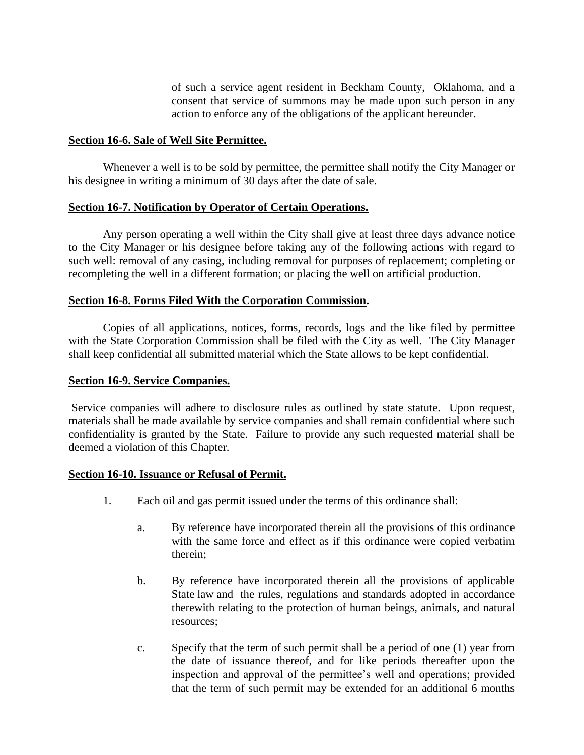of such a service agent resident in Beckham County, Oklahoma, and a consent that service of summons may be made upon such person in any action to enforce any of the obligations of the applicant hereunder.

#### **Section 16-6. Sale of Well Site Permittee.**

Whenever a well is to be sold by permittee, the permittee shall notify the City Manager or his designee in writing a minimum of 30 days after the date of sale.

#### **Section 16-7. Notification by Operator of Certain Operations.**

Any person operating a well within the City shall give at least three days advance notice to the City Manager or his designee before taking any of the following actions with regard to such well: removal of any casing, including removal for purposes of replacement; completing or recompleting the well in a different formation; or placing the well on artificial production.

#### **Section 16-8. Forms Filed With the Corporation Commission.**

Copies of all applications, notices, forms, records, logs and the like filed by permittee with the State Corporation Commission shall be filed with the City as well. The City Manager shall keep confidential all submitted material which the State allows to be kept confidential.

#### **Section 16-9. Service Companies.**

Service companies will adhere to disclosure rules as outlined by state statute. Upon request, materials shall be made available by service companies and shall remain confidential where such confidentiality is granted by the State. Failure to provide any such requested material shall be deemed a violation of this Chapter.

#### **Section 16-10. Issuance or Refusal of Permit.**

- 1. Each oil and gas permit issued under the terms of this ordinance shall:
	- a. By reference have incorporated therein all the provisions of this ordinance with the same force and effect as if this ordinance were copied verbatim therein;
	- b. By reference have incorporated therein all the provisions of applicable State law and the rules, regulations and standards adopted in accordance therewith relating to the protection of human beings, animals, and natural resources;
	- c. Specify that the term of such permit shall be a period of one (1) year from the date of issuance thereof, and for like periods thereafter upon the inspection and approval of the permittee's well and operations; provided that the term of such permit may be extended for an additional 6 months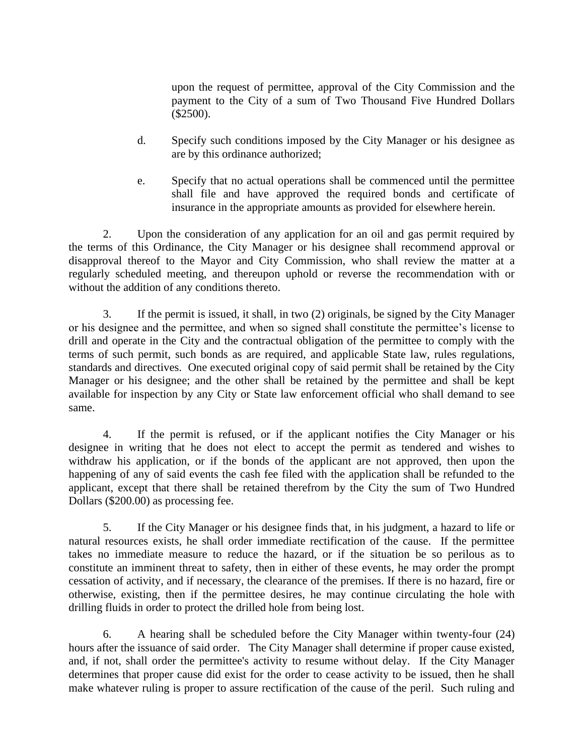upon the request of permittee, approval of the City Commission and the payment to the City of a sum of Two Thousand Five Hundred Dollars (\$2500).

- d. Specify such conditions imposed by the City Manager or his designee as are by this ordinance authorized;
- e. Specify that no actual operations shall be commenced until the permittee shall file and have approved the required bonds and certificate of insurance in the appropriate amounts as provided for elsewhere herein.

2. Upon the consideration of any application for an oil and gas permit required by the terms of this Ordinance, the City Manager or his designee shall recommend approval or disapproval thereof to the Mayor and City Commission, who shall review the matter at a regularly scheduled meeting, and thereupon uphold or reverse the recommendation with or without the addition of any conditions thereto.

3. If the permit is issued, it shall, in two (2) originals, be signed by the City Manager or his designee and the permittee, and when so signed shall constitute the permittee's license to drill and operate in the City and the contractual obligation of the permittee to comply with the terms of such permit, such bonds as are required, and applicable State law, rules regulations, standards and directives. One executed original copy of said permit shall be retained by the City Manager or his designee; and the other shall be retained by the permittee and shall be kept available for inspection by any City or State law enforcement official who shall demand to see same.

4. If the permit is refused, or if the applicant notifies the City Manager or his designee in writing that he does not elect to accept the permit as tendered and wishes to withdraw his application, or if the bonds of the applicant are not approved, then upon the happening of any of said events the cash fee filed with the application shall be refunded to the applicant, except that there shall be retained therefrom by the City the sum of Two Hundred Dollars (\$200.00) as processing fee.

5. If the City Manager or his designee finds that, in his judgment, a hazard to life or natural resources exists, he shall order immediate rectification of the cause. If the permittee takes no immediate measure to reduce the hazard, or if the situation be so perilous as to constitute an imminent threat to safety, then in either of these events, he may order the prompt cessation of activity, and if necessary, the clearance of the premises. If there is no hazard, fire or otherwise, existing, then if the permittee desires, he may continue circulating the hole with drilling fluids in order to protect the drilled hole from being lost.

6. A hearing shall be scheduled before the City Manager within twenty-four (24) hours after the issuance of said order. The City Manager shall determine if proper cause existed, and, if not, shall order the permittee's activity to resume without delay. If the City Manager determines that proper cause did exist for the order to cease activity to be issued, then he shall make whatever ruling is proper to assure rectification of the cause of the peril. Such ruling and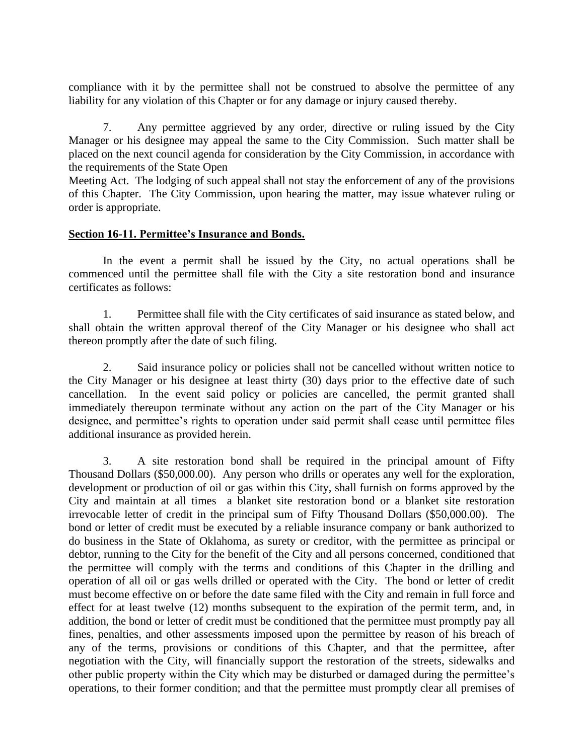compliance with it by the permittee shall not be construed to absolve the permittee of any liability for any violation of this Chapter or for any damage or injury caused thereby.

7. Any permittee aggrieved by any order, directive or ruling issued by the City Manager or his designee may appeal the same to the City Commission. Such matter shall be placed on the next council agenda for consideration by the City Commission, in accordance with the requirements of the State Open

Meeting Act. The lodging of such appeal shall not stay the enforcement of any of the provisions of this Chapter. The City Commission, upon hearing the matter, may issue whatever ruling or order is appropriate.

#### **Section 16-11. Permittee's Insurance and Bonds.**

In the event a permit shall be issued by the City, no actual operations shall be commenced until the permittee shall file with the City a site restoration bond and insurance certificates as follows:

1. Permittee shall file with the City certificates of said insurance as stated below, and shall obtain the written approval thereof of the City Manager or his designee who shall act thereon promptly after the date of such filing.

2. Said insurance policy or policies shall not be cancelled without written notice to the City Manager or his designee at least thirty (30) days prior to the effective date of such cancellation. In the event said policy or policies are cancelled, the permit granted shall immediately thereupon terminate without any action on the part of the City Manager or his designee, and permittee's rights to operation under said permit shall cease until permittee files additional insurance as provided herein.

3. A site restoration bond shall be required in the principal amount of Fifty Thousand Dollars (\$50,000.00). Any person who drills or operates any well for the exploration, development or production of oil or gas within this City, shall furnish on forms approved by the City and maintain at all times a blanket site restoration bond or a blanket site restoration irrevocable letter of credit in the principal sum of Fifty Thousand Dollars (\$50,000.00). The bond or letter of credit must be executed by a reliable insurance company or bank authorized to do business in the State of Oklahoma, as surety or creditor, with the permittee as principal or debtor, running to the City for the benefit of the City and all persons concerned, conditioned that the permittee will comply with the terms and conditions of this Chapter in the drilling and operation of all oil or gas wells drilled or operated with the City. The bond or letter of credit must become effective on or before the date same filed with the City and remain in full force and effect for at least twelve (12) months subsequent to the expiration of the permit term, and, in addition, the bond or letter of credit must be conditioned that the permittee must promptly pay all fines, penalties, and other assessments imposed upon the permittee by reason of his breach of any of the terms, provisions or conditions of this Chapter, and that the permittee, after negotiation with the City, will financially support the restoration of the streets, sidewalks and other public property within the City which may be disturbed or damaged during the permittee's operations, to their former condition; and that the permittee must promptly clear all premises of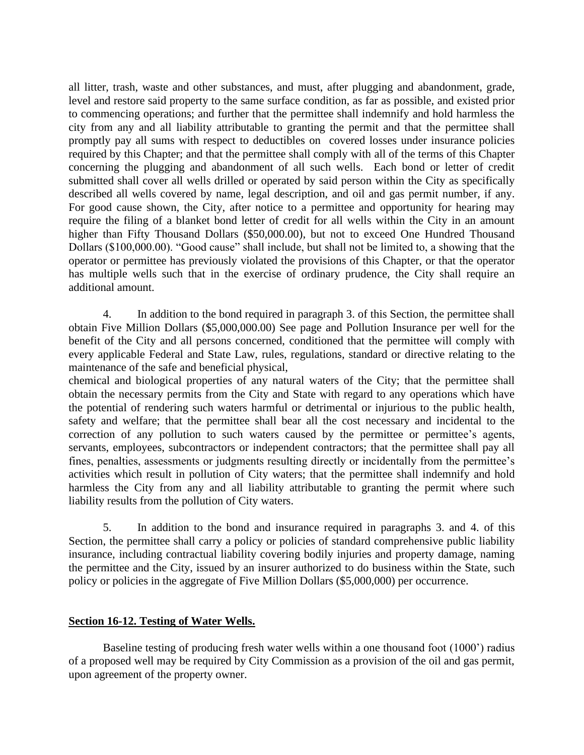all litter, trash, waste and other substances, and must, after plugging and abandonment, grade, level and restore said property to the same surface condition, as far as possible, and existed prior to commencing operations; and further that the permittee shall indemnify and hold harmless the city from any and all liability attributable to granting the permit and that the permittee shall promptly pay all sums with respect to deductibles on covered losses under insurance policies required by this Chapter; and that the permittee shall comply with all of the terms of this Chapter concerning the plugging and abandonment of all such wells. Each bond or letter of credit submitted shall cover all wells drilled or operated by said person within the City as specifically described all wells covered by name, legal description, and oil and gas permit number, if any. For good cause shown, the City, after notice to a permittee and opportunity for hearing may require the filing of a blanket bond letter of credit for all wells within the City in an amount higher than Fifty Thousand Dollars (\$50,000.00), but not to exceed One Hundred Thousand Dollars (\$100,000.00). "Good cause" shall include, but shall not be limited to, a showing that the operator or permittee has previously violated the provisions of this Chapter, or that the operator has multiple wells such that in the exercise of ordinary prudence, the City shall require an additional amount.

4. In addition to the bond required in paragraph 3. of this Section, the permittee shall obtain Five Million Dollars (\$5,000,000.00) See page and Pollution Insurance per well for the benefit of the City and all persons concerned, conditioned that the permittee will comply with every applicable Federal and State Law, rules, regulations, standard or directive relating to the maintenance of the safe and beneficial physical,

chemical and biological properties of any natural waters of the City; that the permittee shall obtain the necessary permits from the City and State with regard to any operations which have the potential of rendering such waters harmful or detrimental or injurious to the public health, safety and welfare; that the permittee shall bear all the cost necessary and incidental to the correction of any pollution to such waters caused by the permittee or permittee's agents, servants, employees, subcontractors or independent contractors; that the permittee shall pay all fines, penalties, assessments or judgments resulting directly or incidentally from the permittee's activities which result in pollution of City waters; that the permittee shall indemnify and hold harmless the City from any and all liability attributable to granting the permit where such liability results from the pollution of City waters.

5. In addition to the bond and insurance required in paragraphs 3. and 4. of this Section, the permittee shall carry a policy or policies of standard comprehensive public liability insurance, including contractual liability covering bodily injuries and property damage, naming the permittee and the City, issued by an insurer authorized to do business within the State, such policy or policies in the aggregate of Five Million Dollars (\$5,000,000) per occurrence.

#### **Section 16-12. Testing of Water Wells.**

Baseline testing of producing fresh water wells within a one thousand foot (1000') radius of a proposed well may be required by City Commission as a provision of the oil and gas permit, upon agreement of the property owner.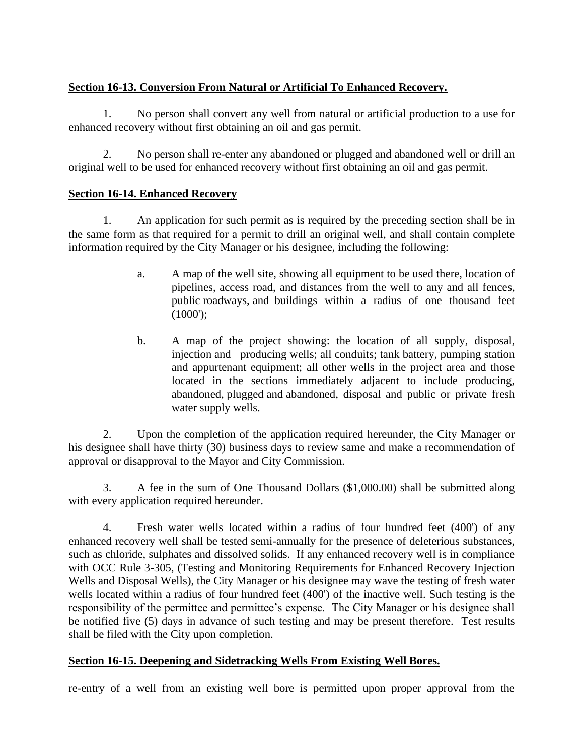# **Section 16-13. Conversion From Natural or Artificial To Enhanced Recovery.**

1. No person shall convert any well from natural or artificial production to a use for enhanced recovery without first obtaining an oil and gas permit.

2. No person shall re-enter any abandoned or plugged and abandoned well or drill an original well to be used for enhanced recovery without first obtaining an oil and gas permit.

# **Section 16-14. Enhanced Recovery**

1. An application for such permit as is required by the preceding section shall be in the same form as that required for a permit to drill an original well, and shall contain complete information required by the City Manager or his designee, including the following:

- a. A map of the well site, showing all equipment to be used there, location of pipelines, access road, and distances from the well to any and all fences, public roadways, and buildings within a radius of one thousand feet (1000');
- b. A map of the project showing: the location of all supply, disposal, injection and producing wells; all conduits; tank battery, pumping station and appurtenant equipment; all other wells in the project area and those located in the sections immediately adjacent to include producing, abandoned, plugged and abandoned, disposal and public or private fresh water supply wells.

2. Upon the completion of the application required hereunder, the City Manager or his designee shall have thirty (30) business days to review same and make a recommendation of approval or disapproval to the Mayor and City Commission.

3. A fee in the sum of One Thousand Dollars (\$1,000.00) shall be submitted along with every application required hereunder.

4. Fresh water wells located within a radius of four hundred feet (400') of any enhanced recovery well shall be tested semi-annually for the presence of deleterious substances, such as chloride, sulphates and dissolved solids. If any enhanced recovery well is in compliance with OCC Rule 3-305, (Testing and Monitoring Requirements for Enhanced Recovery Injection Wells and Disposal Wells), the City Manager or his designee may wave the testing of fresh water wells located within a radius of four hundred feet (400') of the inactive well. Such testing is the responsibility of the permittee and permittee's expense. The City Manager or his designee shall be notified five (5) days in advance of such testing and may be present therefore. Test results shall be filed with the City upon completion.

# **Section 16-15. Deepening and Sidetracking Wells From Existing Well Bores.**

re-entry of a well from an existing well bore is permitted upon proper approval from the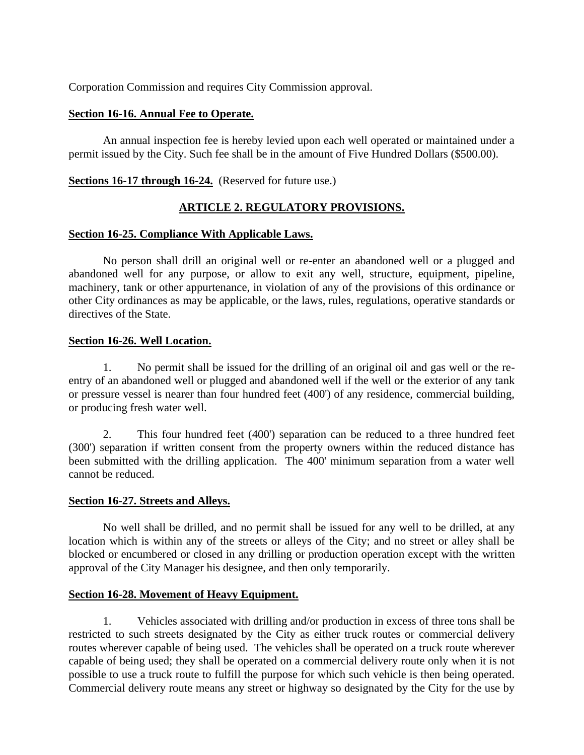Corporation Commission and requires City Commission approval.

### **Section 16-16. Annual Fee to Operate.**

An annual inspection fee is hereby levied upon each well operated or maintained under a permit issued by the City. Such fee shall be in the amount of Five Hundred Dollars (\$500.00).

# **Sections 16-17 through 16-24.** (Reserved for future use.)

# **ARTICLE 2. REGULATORY PROVISIONS.**

### **Section 16-25. Compliance With Applicable Laws.**

No person shall drill an original well or re-enter an abandoned well or a plugged and abandoned well for any purpose, or allow to exit any well, structure, equipment, pipeline, machinery, tank or other appurtenance, in violation of any of the provisions of this ordinance or other City ordinances as may be applicable, or the laws, rules, regulations, operative standards or directives of the State.

### **Section 16-26. Well Location.**

1. No permit shall be issued for the drilling of an original oil and gas well or the reentry of an abandoned well or plugged and abandoned well if the well or the exterior of any tank or pressure vessel is nearer than four hundred feet (400') of any residence, commercial building, or producing fresh water well.

2. This four hundred feet (400') separation can be reduced to a three hundred feet (300') separation if written consent from the property owners within the reduced distance has been submitted with the drilling application. The 400' minimum separation from a water well cannot be reduced.

#### **Section 16-27. Streets and Alleys.**

No well shall be drilled, and no permit shall be issued for any well to be drilled, at any location which is within any of the streets or alleys of the City; and no street or alley shall be blocked or encumbered or closed in any drilling or production operation except with the written approval of the City Manager his designee, and then only temporarily.

# **Section 16-28. Movement of Heavy Equipment.**

1. Vehicles associated with drilling and/or production in excess of three tons shall be restricted to such streets designated by the City as either truck routes or commercial delivery routes wherever capable of being used. The vehicles shall be operated on a truck route wherever capable of being used; they shall be operated on a commercial delivery route only when it is not possible to use a truck route to fulfill the purpose for which such vehicle is then being operated. Commercial delivery route means any street or highway so designated by the City for the use by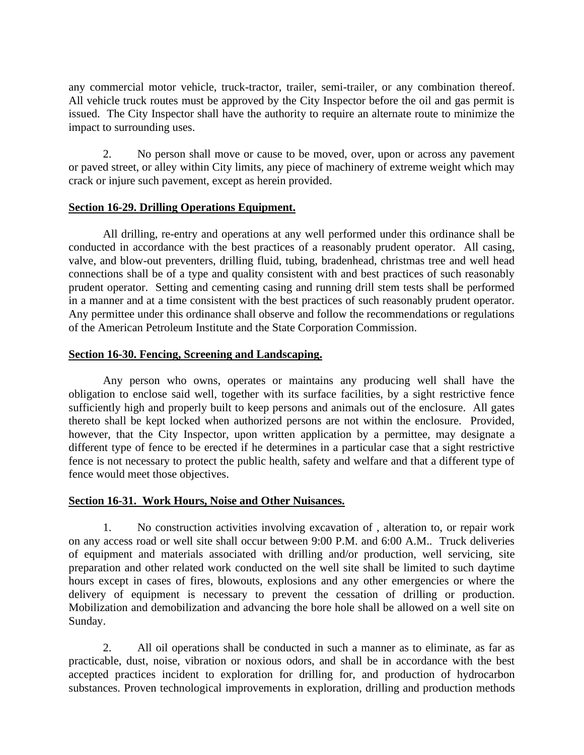any commercial motor vehicle, truck-tractor, trailer, semi-trailer, or any combination thereof. All vehicle truck routes must be approved by the City Inspector before the oil and gas permit is issued. The City Inspector shall have the authority to require an alternate route to minimize the impact to surrounding uses.

2. No person shall move or cause to be moved, over, upon or across any pavement or paved street, or alley within City limits, any piece of machinery of extreme weight which may crack or injure such pavement, except as herein provided.

# **Section 16-29. Drilling Operations Equipment.**

All drilling, re-entry and operations at any well performed under this ordinance shall be conducted in accordance with the best practices of a reasonably prudent operator. All casing, valve, and blow-out preventers, drilling fluid, tubing, bradenhead, christmas tree and well head connections shall be of a type and quality consistent with and best practices of such reasonably prudent operator. Setting and cementing casing and running drill stem tests shall be performed in a manner and at a time consistent with the best practices of such reasonably prudent operator. Any permittee under this ordinance shall observe and follow the recommendations or regulations of the American Petroleum Institute and the State Corporation Commission.

### **Section 16-30. Fencing, Screening and Landscaping.**

Any person who owns, operates or maintains any producing well shall have the obligation to enclose said well, together with its surface facilities, by a sight restrictive fence sufficiently high and properly built to keep persons and animals out of the enclosure. All gates thereto shall be kept locked when authorized persons are not within the enclosure. Provided, however, that the City Inspector, upon written application by a permittee, may designate a different type of fence to be erected if he determines in a particular case that a sight restrictive fence is not necessary to protect the public health, safety and welfare and that a different type of fence would meet those objectives.

# **Section 16-31. Work Hours, Noise and Other Nuisances.**

1. No construction activities involving excavation of , alteration to, or repair work on any access road or well site shall occur between 9:00 P.M. and 6:00 A.M.. Truck deliveries of equipment and materials associated with drilling and/or production, well servicing, site preparation and other related work conducted on the well site shall be limited to such daytime hours except in cases of fires, blowouts, explosions and any other emergencies or where the delivery of equipment is necessary to prevent the cessation of drilling or production. Mobilization and demobilization and advancing the bore hole shall be allowed on a well site on Sunday.

2. All oil operations shall be conducted in such a manner as to eliminate, as far as practicable, dust, noise, vibration or noxious odors, and shall be in accordance with the best accepted practices incident to exploration for drilling for, and production of hydrocarbon substances. Proven technological improvements in exploration, drilling and production methods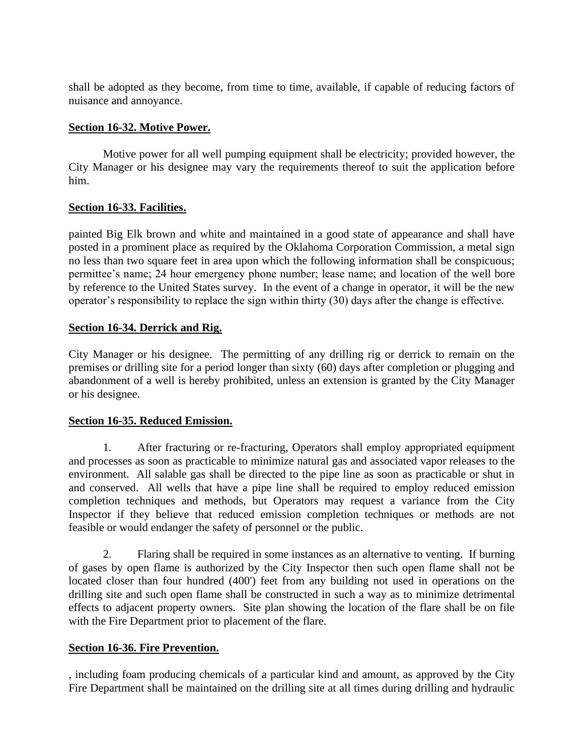shall be adopted as they become, from time to time, available, if capable of reducing factors of nuisance and annoyance.

### **Section 16-32. Motive Power.**

Motive power for all well pumping equipment shall be electricity; provided however, the City Manager or his designee may vary the requirements thereof to suit the application before him.

# **Section 16-33. Facilities.**

painted Big Elk brown and white and maintained in a good state of appearance and shall have posted in a prominent place as required by the Oklahoma Corporation Commission, a metal sign no less than two square feet in area upon which the following information shall be conspicuous; permittee's name; 24 hour emergency phone number; lease name; and location of the well bore by reference to the United States survey. In the event of a change in operator, it will be the new operator's responsibility to replace the sign within thirty (30) days after the change is effective.

# **Section 16-34. Derrick and Rig.**

City Manager or his designee. The permitting of any drilling rig or derrick to remain on the premises or drilling site for a period longer than sixty (60) days after completion or plugging and abandonment of a well is hereby prohibited, unless an extension is granted by the City Manager or his designee.

#### **Section 16-35. Reduced Emission.**

1. After fracturing or re-fracturing, Operators shall employ appropriated equipment and processes as soon as practicable to minimize natural gas and associated vapor releases to the environment. All salable gas shall be directed to the pipe line as soon as practicable or shut in and conserved. All wells that have a pipe line shall be required to employ reduced emission completion techniques and methods, but Operators may request a variance from the City Inspector if they believe that reduced emission completion techniques or methods are not feasible or would endanger the safety of personnel or the public.

2. Flaring shall be required in some instances as an alternative to venting. If burning of gases by open flame is authorized by the City Inspector then such open flame shall not be located closer than four hundred (400') feet from any building not used in operations on the drilling site and such open flame shall be constructed in such a way as to minimize detrimental effects to adjacent property owners. Site plan showing the location of the flare shall be on file with the Fire Department prior to placement of the flare.

# **Section 16-36. Fire Prevention.**

, including foam producing chemicals of a particular kind and amount, as approved by the City Fire Department shall be maintained on the drilling site at all times during drilling and hydraulic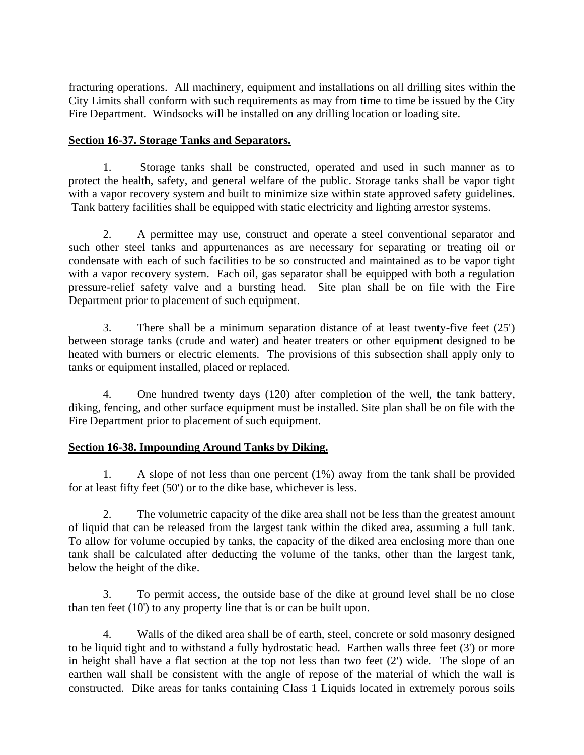fracturing operations. All machinery, equipment and installations on all drilling sites within the City Limits shall conform with such requirements as may from time to time be issued by the City Fire Department. Windsocks will be installed on any drilling location or loading site.

### **Section 16-37. Storage Tanks and Separators.**

1. Storage tanks shall be constructed, operated and used in such manner as to protect the health, safety, and general welfare of the public. Storage tanks shall be vapor tight with a vapor recovery system and built to minimize size within state approved safety guidelines. Tank battery facilities shall be equipped with static electricity and lighting arrestor systems.

2. A permittee may use, construct and operate a steel conventional separator and such other steel tanks and appurtenances as are necessary for separating or treating oil or condensate with each of such facilities to be so constructed and maintained as to be vapor tight with a vapor recovery system. Each oil, gas separator shall be equipped with both a regulation pressure-relief safety valve and a bursting head. Site plan shall be on file with the Fire Department prior to placement of such equipment.

3. There shall be a minimum separation distance of at least twenty-five feet (25') between storage tanks (crude and water) and heater treaters or other equipment designed to be heated with burners or electric elements. The provisions of this subsection shall apply only to tanks or equipment installed, placed or replaced.

4. One hundred twenty days (120) after completion of the well, the tank battery, diking, fencing, and other surface equipment must be installed. Site plan shall be on file with the Fire Department prior to placement of such equipment.

# **Section 16-38. Impounding Around Tanks by Diking.**

1. A slope of not less than one percent (1%) away from the tank shall be provided for at least fifty feet (50') or to the dike base, whichever is less.

2. The volumetric capacity of the dike area shall not be less than the greatest amount of liquid that can be released from the largest tank within the diked area, assuming a full tank. To allow for volume occupied by tanks, the capacity of the diked area enclosing more than one tank shall be calculated after deducting the volume of the tanks, other than the largest tank, below the height of the dike.

3. To permit access, the outside base of the dike at ground level shall be no close than ten feet (10') to any property line that is or can be built upon.

4. Walls of the diked area shall be of earth, steel, concrete or sold masonry designed to be liquid tight and to withstand a fully hydrostatic head. Earthen walls three feet (3') or more in height shall have a flat section at the top not less than two feet (2') wide. The slope of an earthen wall shall be consistent with the angle of repose of the material of which the wall is constructed. Dike areas for tanks containing Class 1 Liquids located in extremely porous soils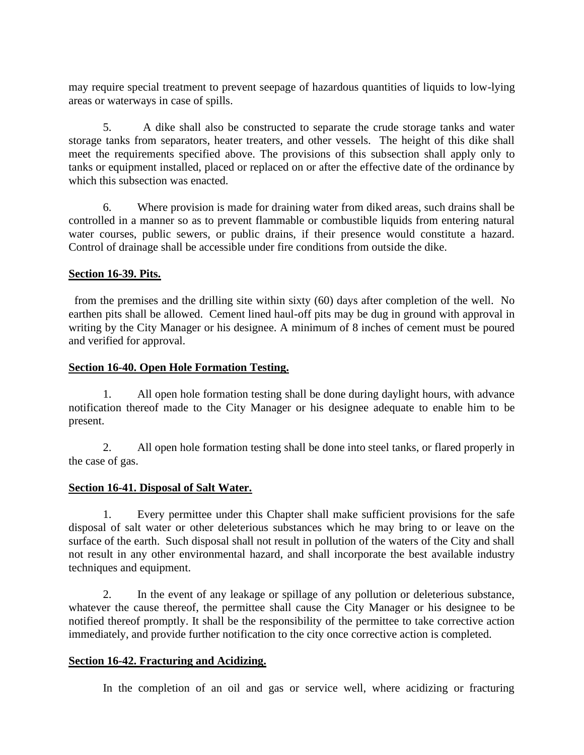may require special treatment to prevent seepage of hazardous quantities of liquids to low-lying areas or waterways in case of spills.

5. A dike shall also be constructed to separate the crude storage tanks and water storage tanks from separators, heater treaters, and other vessels. The height of this dike shall meet the requirements specified above. The provisions of this subsection shall apply only to tanks or equipment installed, placed or replaced on or after the effective date of the ordinance by which this subsection was enacted.

6. Where provision is made for draining water from diked areas, such drains shall be controlled in a manner so as to prevent flammable or combustible liquids from entering natural water courses, public sewers, or public drains, if their presence would constitute a hazard. Control of drainage shall be accessible under fire conditions from outside the dike.

### **Section 16-39. Pits.**

 from the premises and the drilling site within sixty (60) days after completion of the well. No earthen pits shall be allowed. Cement lined haul-off pits may be dug in ground with approval in writing by the City Manager or his designee. A minimum of 8 inches of cement must be poured and verified for approval.

#### **Section 16-40. Open Hole Formation Testing.**

1. All open hole formation testing shall be done during daylight hours, with advance notification thereof made to the City Manager or his designee adequate to enable him to be present.

2. All open hole formation testing shall be done into steel tanks, or flared properly in the case of gas.

#### **Section 16-41. Disposal of Salt Water.**

1. Every permittee under this Chapter shall make sufficient provisions for the safe disposal of salt water or other deleterious substances which he may bring to or leave on the surface of the earth. Such disposal shall not result in pollution of the waters of the City and shall not result in any other environmental hazard, and shall incorporate the best available industry techniques and equipment.

2. In the event of any leakage or spillage of any pollution or deleterious substance, whatever the cause thereof, the permittee shall cause the City Manager or his designee to be notified thereof promptly. It shall be the responsibility of the permittee to take corrective action immediately, and provide further notification to the city once corrective action is completed.

#### **Section 16-42. Fracturing and Acidizing.**

In the completion of an oil and gas or service well, where acidizing or fracturing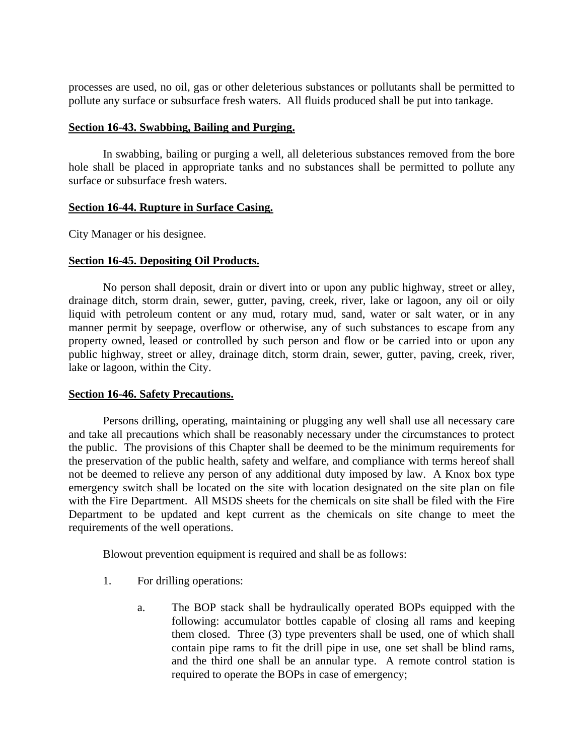processes are used, no oil, gas or other deleterious substances or pollutants shall be permitted to pollute any surface or subsurface fresh waters. All fluids produced shall be put into tankage.

#### **Section 16-43. Swabbing, Bailing and Purging.**

In swabbing, bailing or purging a well, all deleterious substances removed from the bore hole shall be placed in appropriate tanks and no substances shall be permitted to pollute any surface or subsurface fresh waters.

#### **Section 16-44. Rupture in Surface Casing.**

City Manager or his designee.

#### **Section 16-45. Depositing Oil Products.**

No person shall deposit, drain or divert into or upon any public highway, street or alley, drainage ditch, storm drain, sewer, gutter, paving, creek, river, lake or lagoon, any oil or oily liquid with petroleum content or any mud, rotary mud, sand, water or salt water, or in any manner permit by seepage, overflow or otherwise, any of such substances to escape from any property owned, leased or controlled by such person and flow or be carried into or upon any public highway, street or alley, drainage ditch, storm drain, sewer, gutter, paving, creek, river, lake or lagoon, within the City.

#### **Section 16-46. Safety Precautions.**

Persons drilling, operating, maintaining or plugging any well shall use all necessary care and take all precautions which shall be reasonably necessary under the circumstances to protect the public. The provisions of this Chapter shall be deemed to be the minimum requirements for the preservation of the public health, safety and welfare, and compliance with terms hereof shall not be deemed to relieve any person of any additional duty imposed by law. A Knox box type emergency switch shall be located on the site with location designated on the site plan on file with the Fire Department. All MSDS sheets for the chemicals on site shall be filed with the Fire Department to be updated and kept current as the chemicals on site change to meet the requirements of the well operations.

Blowout prevention equipment is required and shall be as follows:

- 1. For drilling operations:
	- a. The BOP stack shall be hydraulically operated BOPs equipped with the following: accumulator bottles capable of closing all rams and keeping them closed. Three (3) type preventers shall be used, one of which shall contain pipe rams to fit the drill pipe in use, one set shall be blind rams, and the third one shall be an annular type. A remote control station is required to operate the BOPs in case of emergency;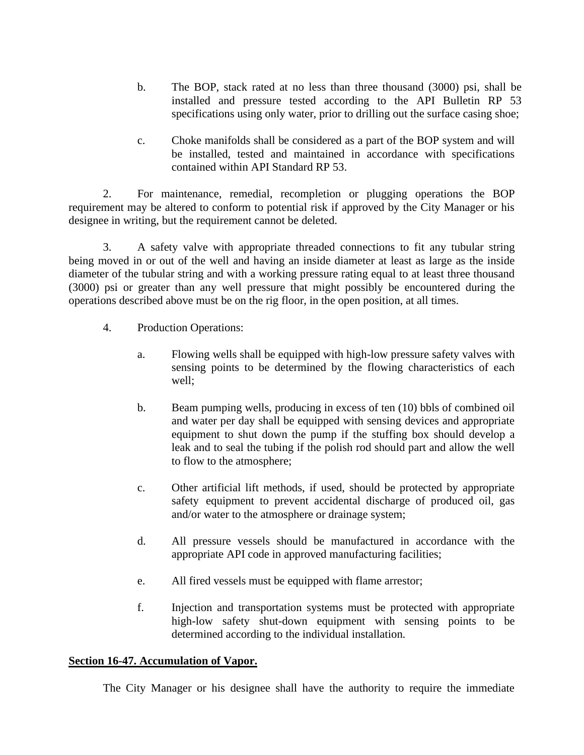- b. The BOP, stack rated at no less than three thousand (3000) psi, shall be installed and pressure tested according to the API Bulletin RP 53 specifications using only water, prior to drilling out the surface casing shoe;
- c. Choke manifolds shall be considered as a part of the BOP system and will be installed, tested and maintained in accordance with specifications contained within API Standard RP 53.

2. For maintenance, remedial, recompletion or plugging operations the BOP requirement may be altered to conform to potential risk if approved by the City Manager or his designee in writing, but the requirement cannot be deleted.

3. A safety valve with appropriate threaded connections to fit any tubular string being moved in or out of the well and having an inside diameter at least as large as the inside diameter of the tubular string and with a working pressure rating equal to at least three thousand (3000) psi or greater than any well pressure that might possibly be encountered during the operations described above must be on the rig floor, in the open position, at all times.

- 4. Production Operations:
	- a. Flowing wells shall be equipped with high-low pressure safety valves with sensing points to be determined by the flowing characteristics of each well;
	- b. Beam pumping wells, producing in excess of ten (10) bbls of combined oil and water per day shall be equipped with sensing devices and appropriate equipment to shut down the pump if the stuffing box should develop a leak and to seal the tubing if the polish rod should part and allow the well to flow to the atmosphere;
	- c. Other artificial lift methods, if used, should be protected by appropriate safety equipment to prevent accidental discharge of produced oil, gas and/or water to the atmosphere or drainage system;
	- d. All pressure vessels should be manufactured in accordance with the appropriate API code in approved manufacturing facilities;
	- e. All fired vessels must be equipped with flame arrestor;
	- f. Injection and transportation systems must be protected with appropriate high-low safety shut-down equipment with sensing points to be determined according to the individual installation.

# **Section 16-47. Accumulation of Vapor.**

The City Manager or his designee shall have the authority to require the immediate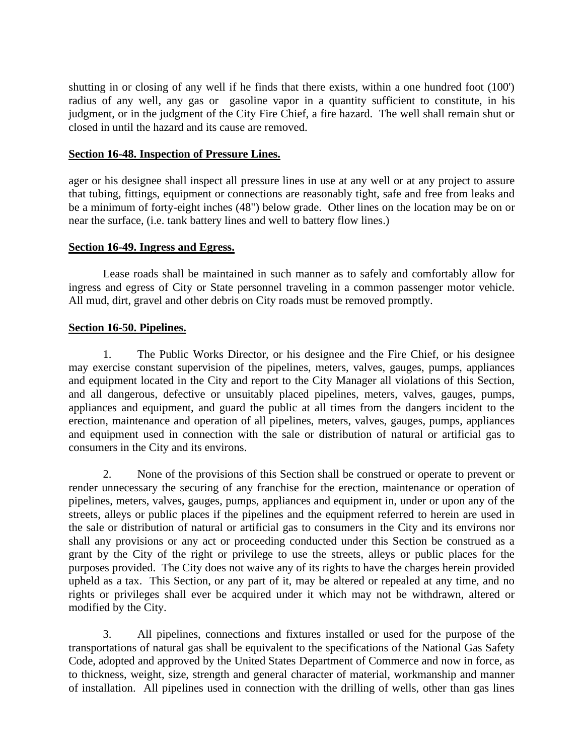shutting in or closing of any well if he finds that there exists, within a one hundred foot (100') radius of any well, any gas or gasoline vapor in a quantity sufficient to constitute, in his judgment, or in the judgment of the City Fire Chief, a fire hazard. The well shall remain shut or closed in until the hazard and its cause are removed.

### **Section 16-48. Inspection of Pressure Lines.**

ager or his designee shall inspect all pressure lines in use at any well or at any project to assure that tubing, fittings, equipment or connections are reasonably tight, safe and free from leaks and be a minimum of forty-eight inches (48") below grade. Other lines on the location may be on or near the surface, (i.e. tank battery lines and well to battery flow lines.)

### **Section 16-49. Ingress and Egress.**

Lease roads shall be maintained in such manner as to safely and comfortably allow for ingress and egress of City or State personnel traveling in a common passenger motor vehicle. All mud, dirt, gravel and other debris on City roads must be removed promptly.

### **Section 16-50. Pipelines.**

1. The Public Works Director, or his designee and the Fire Chief, or his designee may exercise constant supervision of the pipelines, meters, valves, gauges, pumps, appliances and equipment located in the City and report to the City Manager all violations of this Section, and all dangerous, defective or unsuitably placed pipelines, meters, valves, gauges, pumps, appliances and equipment, and guard the public at all times from the dangers incident to the erection, maintenance and operation of all pipelines, meters, valves, gauges, pumps, appliances and equipment used in connection with the sale or distribution of natural or artificial gas to consumers in the City and its environs.

2. None of the provisions of this Section shall be construed or operate to prevent or render unnecessary the securing of any franchise for the erection, maintenance or operation of pipelines, meters, valves, gauges, pumps, appliances and equipment in, under or upon any of the streets, alleys or public places if the pipelines and the equipment referred to herein are used in the sale or distribution of natural or artificial gas to consumers in the City and its environs nor shall any provisions or any act or proceeding conducted under this Section be construed as a grant by the City of the right or privilege to use the streets, alleys or public places for the purposes provided. The City does not waive any of its rights to have the charges herein provided upheld as a tax. This Section, or any part of it, may be altered or repealed at any time, and no rights or privileges shall ever be acquired under it which may not be withdrawn, altered or modified by the City.

3. All pipelines, connections and fixtures installed or used for the purpose of the transportations of natural gas shall be equivalent to the specifications of the National Gas Safety Code, adopted and approved by the United States Department of Commerce and now in force, as to thickness, weight, size, strength and general character of material, workmanship and manner of installation. All pipelines used in connection with the drilling of wells, other than gas lines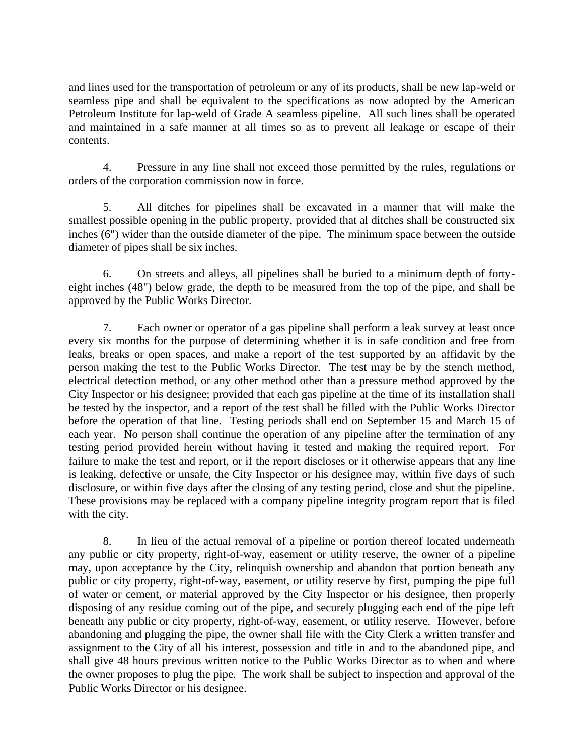and lines used for the transportation of petroleum or any of its products, shall be new lap-weld or seamless pipe and shall be equivalent to the specifications as now adopted by the American Petroleum Institute for lap-weld of Grade A seamless pipeline. All such lines shall be operated and maintained in a safe manner at all times so as to prevent all leakage or escape of their contents.

4. Pressure in any line shall not exceed those permitted by the rules, regulations or orders of the corporation commission now in force.

5. All ditches for pipelines shall be excavated in a manner that will make the smallest possible opening in the public property, provided that al ditches shall be constructed six inches (6") wider than the outside diameter of the pipe. The minimum space between the outside diameter of pipes shall be six inches.

6. On streets and alleys, all pipelines shall be buried to a minimum depth of fortyeight inches (48") below grade, the depth to be measured from the top of the pipe, and shall be approved by the Public Works Director.

7. Each owner or operator of a gas pipeline shall perform a leak survey at least once every six months for the purpose of determining whether it is in safe condition and free from leaks, breaks or open spaces, and make a report of the test supported by an affidavit by the person making the test to the Public Works Director. The test may be by the stench method, electrical detection method, or any other method other than a pressure method approved by the City Inspector or his designee; provided that each gas pipeline at the time of its installation shall be tested by the inspector, and a report of the test shall be filled with the Public Works Director before the operation of that line. Testing periods shall end on September 15 and March 15 of each year. No person shall continue the operation of any pipeline after the termination of any testing period provided herein without having it tested and making the required report. For failure to make the test and report, or if the report discloses or it otherwise appears that any line is leaking, defective or unsafe, the City Inspector or his designee may, within five days of such disclosure, or within five days after the closing of any testing period, close and shut the pipeline. These provisions may be replaced with a company pipeline integrity program report that is filed with the city.

8. In lieu of the actual removal of a pipeline or portion thereof located underneath any public or city property, right-of-way, easement or utility reserve, the owner of a pipeline may, upon acceptance by the City, relinquish ownership and abandon that portion beneath any public or city property, right-of-way, easement, or utility reserve by first, pumping the pipe full of water or cement, or material approved by the City Inspector or his designee, then properly disposing of any residue coming out of the pipe, and securely plugging each end of the pipe left beneath any public or city property, right-of-way, easement, or utility reserve. However, before abandoning and plugging the pipe, the owner shall file with the City Clerk a written transfer and assignment to the City of all his interest, possession and title in and to the abandoned pipe, and shall give 48 hours previous written notice to the Public Works Director as to when and where the owner proposes to plug the pipe. The work shall be subject to inspection and approval of the Public Works Director or his designee.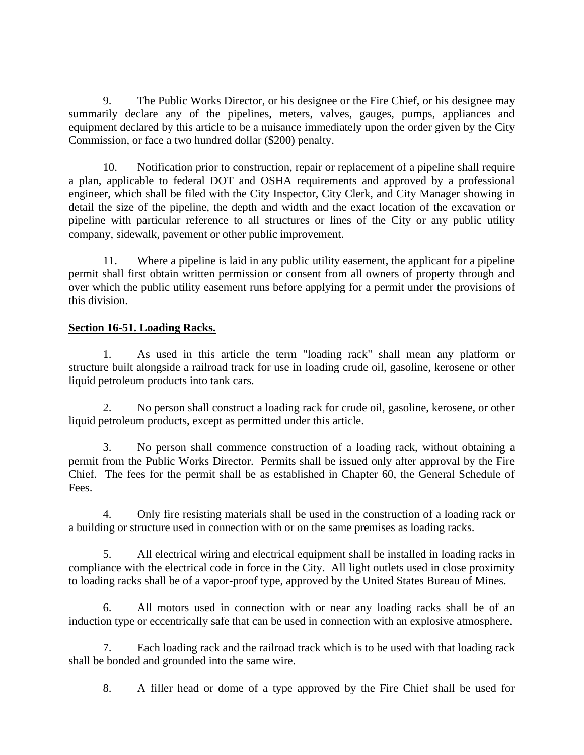9. The Public Works Director, or his designee or the Fire Chief, or his designee may summarily declare any of the pipelines, meters, valves, gauges, pumps, appliances and equipment declared by this article to be a nuisance immediately upon the order given by the City Commission, or face a two hundred dollar (\$200) penalty.

10. Notification prior to construction, repair or replacement of a pipeline shall require a plan, applicable to federal DOT and OSHA requirements and approved by a professional engineer, which shall be filed with the City Inspector, City Clerk, and City Manager showing in detail the size of the pipeline, the depth and width and the exact location of the excavation or pipeline with particular reference to all structures or lines of the City or any public utility company, sidewalk, pavement or other public improvement.

11. Where a pipeline is laid in any public utility easement, the applicant for a pipeline permit shall first obtain written permission or consent from all owners of property through and over which the public utility easement runs before applying for a permit under the provisions of this division.

# **Section 16-51. Loading Racks.**

1. As used in this article the term "loading rack" shall mean any platform or structure built alongside a railroad track for use in loading crude oil, gasoline, kerosene or other liquid petroleum products into tank cars.

2. No person shall construct a loading rack for crude oil, gasoline, kerosene, or other liquid petroleum products, except as permitted under this article.

3. No person shall commence construction of a loading rack, without obtaining a permit from the Public Works Director. Permits shall be issued only after approval by the Fire Chief. The fees for the permit shall be as established in Chapter 60, the General Schedule of Fees.

4. Only fire resisting materials shall be used in the construction of a loading rack or a building or structure used in connection with or on the same premises as loading racks.

5. All electrical wiring and electrical equipment shall be installed in loading racks in compliance with the electrical code in force in the City. All light outlets used in close proximity to loading racks shall be of a vapor-proof type, approved by the United States Bureau of Mines.

6. All motors used in connection with or near any loading racks shall be of an induction type or eccentrically safe that can be used in connection with an explosive atmosphere.

7. Each loading rack and the railroad track which is to be used with that loading rack shall be bonded and grounded into the same wire.

8. A filler head or dome of a type approved by the Fire Chief shall be used for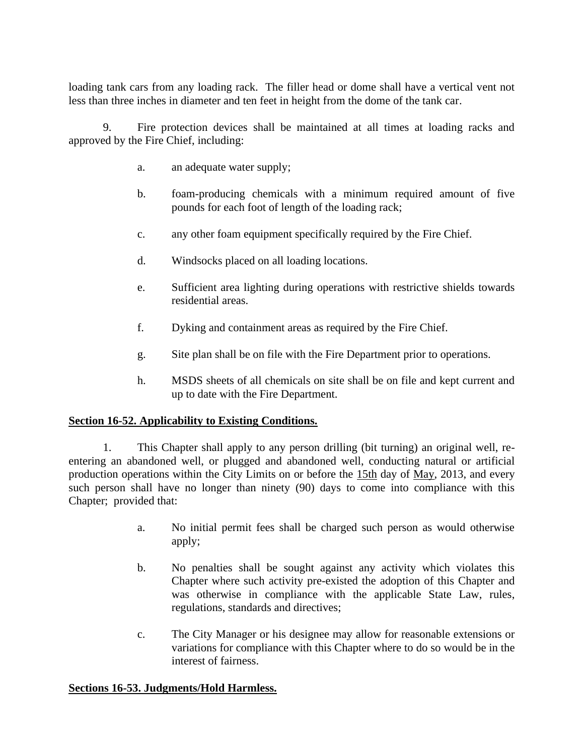loading tank cars from any loading rack. The filler head or dome shall have a vertical vent not less than three inches in diameter and ten feet in height from the dome of the tank car.

9. Fire protection devices shall be maintained at all times at loading racks and approved by the Fire Chief, including:

- a. an adequate water supply;
- b. foam-producing chemicals with a minimum required amount of five pounds for each foot of length of the loading rack;
- c. any other foam equipment specifically required by the Fire Chief.
- d. Windsocks placed on all loading locations.
- e. Sufficient area lighting during operations with restrictive shields towards residential areas.
- f. Dyking and containment areas as required by the Fire Chief.
- g. Site plan shall be on file with the Fire Department prior to operations.
- h. MSDS sheets of all chemicals on site shall be on file and kept current and up to date with the Fire Department.

# **Section 16-52. Applicability to Existing Conditions.**

1. This Chapter shall apply to any person drilling (bit turning) an original well, reentering an abandoned well, or plugged and abandoned well, conducting natural or artificial production operations within the City Limits on or before the 15th day of May, 2013, and every such person shall have no longer than ninety (90) days to come into compliance with this Chapter; provided that:

- a. No initial permit fees shall be charged such person as would otherwise apply;
- b. No penalties shall be sought against any activity which violates this Chapter where such activity pre-existed the adoption of this Chapter and was otherwise in compliance with the applicable State Law, rules, regulations, standards and directives;
- c. The City Manager or his designee may allow for reasonable extensions or variations for compliance with this Chapter where to do so would be in the interest of fairness.

# **Sections 16-53. Judgments/Hold Harmless.**